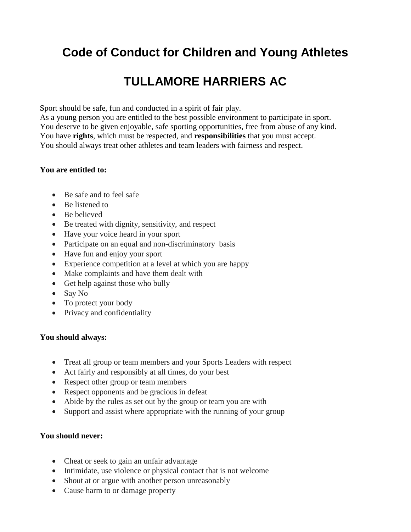# **Code of Conduct for Children and Young Athletes**

# **TULLAMORE HARRIERS AC**

Sport should be safe, fun and conducted in a spirit of fair play.

As a young person you are entitled to the best possible environment to participate in sport. You deserve to be given enjoyable, safe sporting opportunities, free from abuse of any kind. You have **rights**, which must be respected, and **responsibilities** that you must accept. You should always treat other athletes and team leaders with fairness and respect.

### **You are entitled to:**

- Be safe and to feel safe
- Be listened to
- Be believed
- Be treated with dignity, sensitivity, and respect
- Have your voice heard in your sport
- Participate on an equal and non-discriminatory basis
- Have fun and enjoy your sport
- Experience competition at a level at which you are happy
- Make complaints and have them dealt with
- Get help against those who bully
- Say No
- To protect your body
- Privacy and confidentiality

### **You should always:**

- Treat all group or team members and your Sports Leaders with respect
- Act fairly and responsibly at all times, do your best
- Respect other group or team members
- Respect opponents and be gracious in defeat
- Abide by the rules as set out by the group or team you are with
- Support and assist where appropriate with the running of your group

### **You should never:**

- Cheat or seek to gain an unfair advantage
- Intimidate, use violence or physical contact that is not welcome
- Shout at or argue with another person unreasonably
- Cause harm to or damage property